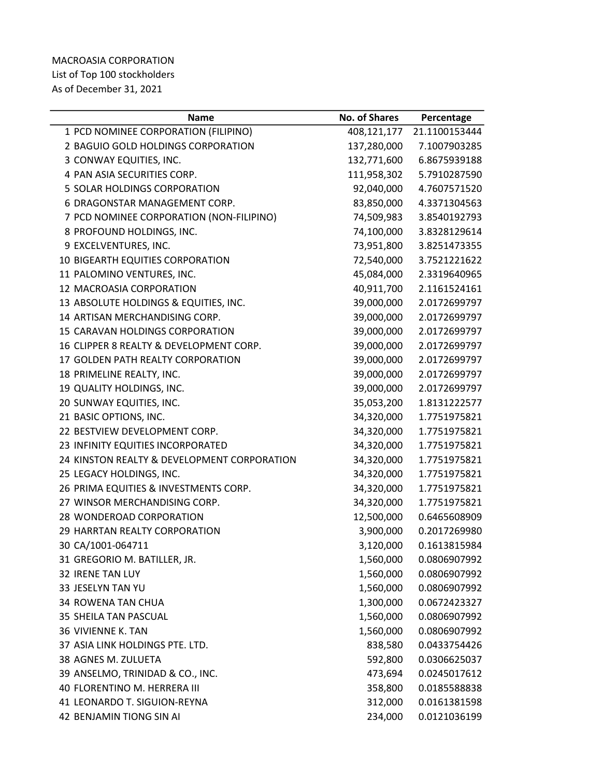## MACROASIA CORPORATION List of Top 100 stockholders As of December 31, 2021

| <b>Name</b>                                 | <b>No. of Shares</b> | Percentage    |
|---------------------------------------------|----------------------|---------------|
| 1 PCD NOMINEE CORPORATION (FILIPINO)        | 408,121,177          | 21.1100153444 |
| 2 BAGUIO GOLD HOLDINGS CORPORATION          | 137,280,000          | 7.1007903285  |
| 3 CONWAY EQUITIES, INC.                     | 132,771,600          | 6.8675939188  |
| 4 PAN ASIA SECURITIES CORP.                 | 111,958,302          | 5.7910287590  |
| 5 SOLAR HOLDINGS CORPORATION                | 92,040,000           | 4.7607571520  |
| 6 DRAGONSTAR MANAGEMENT CORP.               | 83,850,000           | 4.3371304563  |
| 7 PCD NOMINEE CORPORATION (NON-FILIPINO)    | 74,509,983           | 3.8540192793  |
| 8 PROFOUND HOLDINGS, INC.                   | 74,100,000           | 3.8328129614  |
| 9 EXCELVENTURES, INC.                       | 73,951,800           | 3.8251473355  |
| 10 BIGEARTH EQUITIES CORPORATION            | 72,540,000           | 3.7521221622  |
| 11 PALOMINO VENTURES, INC.                  | 45,084,000           | 2.3319640965  |
| 12 MACROASIA CORPORATION                    | 40,911,700           | 2.1161524161  |
| 13 ABSOLUTE HOLDINGS & EQUITIES, INC.       | 39,000,000           | 2.0172699797  |
| 14 ARTISAN MERCHANDISING CORP.              | 39,000,000           | 2.0172699797  |
| 15 CARAVAN HOLDINGS CORPORATION             | 39,000,000           | 2.0172699797  |
| 16 CLIPPER 8 REALTY & DEVELOPMENT CORP.     | 39,000,000           | 2.0172699797  |
| 17 GOLDEN PATH REALTY CORPORATION           | 39,000,000           | 2.0172699797  |
| 18 PRIMELINE REALTY, INC.                   | 39,000,000           | 2.0172699797  |
| 19 QUALITY HOLDINGS, INC.                   | 39,000,000           | 2.0172699797  |
| 20 SUNWAY EQUITIES, INC.                    | 35,053,200           | 1.8131222577  |
| 21 BASIC OPTIONS, INC.                      | 34,320,000           | 1.7751975821  |
| 22 BESTVIEW DEVELOPMENT CORP.               | 34,320,000           | 1.7751975821  |
| 23 INFINITY EQUITIES INCORPORATED           | 34,320,000           | 1.7751975821  |
| 24 KINSTON REALTY & DEVELOPMENT CORPORATION | 34,320,000           | 1.7751975821  |
| 25 LEGACY HOLDINGS, INC.                    | 34,320,000           | 1.7751975821  |
| 26 PRIMA EQUITIES & INVESTMENTS CORP.       | 34,320,000           | 1.7751975821  |
| 27 WINSOR MERCHANDISING CORP.               | 34,320,000           | 1.7751975821  |
| 28 WONDEROAD CORPORATION                    | 12,500,000           | 0.6465608909  |
| <b>29 HARRTAN REALTY CORPORATION</b>        | 3,900,000            | 0.2017269980  |
| 30 CA/1001-064711                           | 3,120,000            | 0.1613815984  |
| 31 GREGORIO M. BATILLER, JR.                | 1,560,000            | 0.0806907992  |
| 32 IRENE TAN LUY                            | 1,560,000            | 0.0806907992  |
| 33 JESELYN TAN YU                           | 1,560,000            | 0.0806907992  |
| <b>34 ROWENA TAN CHUA</b>                   | 1,300,000            | 0.0672423327  |
| 35 SHEILA TAN PASCUAL                       | 1,560,000            | 0.0806907992  |
| <b>36 VIVIENNE K. TAN</b>                   | 1,560,000            | 0.0806907992  |
| 37 ASIA LINK HOLDINGS PTE. LTD.             | 838,580              | 0.0433754426  |
| 38 AGNES M. ZULUETA                         | 592,800              | 0.0306625037  |
| 39 ANSELMO, TRINIDAD & CO., INC.            | 473,694              | 0.0245017612  |
| 40 FLORENTINO M. HERRERA III                | 358,800              | 0.0185588838  |
| 41 LEONARDO T. SIGUION-REYNA                | 312,000              | 0.0161381598  |
| 42 BENJAMIN TIONG SIN AI                    | 234,000              | 0.0121036199  |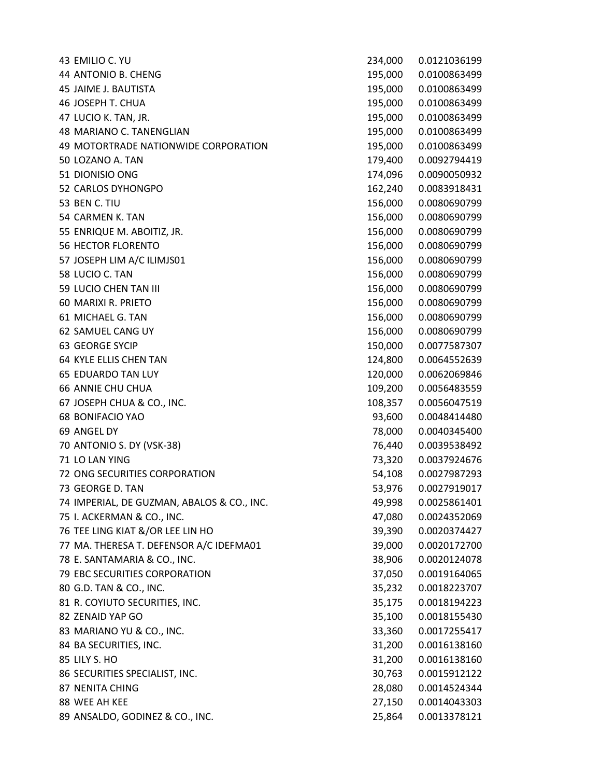EMILIO C. YU 234,000 0.0121036199 ANTONIO B. CHENG 195,000 0.0100863499 JAIME J. BAUTISTA 195,000 0.0100863499 JOSEPH T. CHUA 195,000 0.0100863499 LUCIO K. TAN, JR. 195,000 0.0100863499 MARIANO C. TANENGLIAN 195,000 0.0100863499 MOTORTRADE NATIONWIDE CORPORATION 195,000 0.0100863499 LOZANO A. TAN 179,400 0.0092794419 DIONISIO ONG 174,096 0.0090050932 CARLOS DYHONGPO 162,240 0.0083918431 BEN C. TIU 156,000 0.0080690799 CARMEN K. TAN 156,000 0.0080690799 ENRIQUE M. ABOITIZ, JR. 156,000 0.0080690799 HECTOR FLORENTO 156,000 0.0080690799 JOSEPH LIM A/C ILIMJS01 156,000 0.0080690799 LUCIO C. TAN 156,000 0.0080690799 LUCIO CHEN TAN III 156,000 0.0080690799 MARIXI R. PRIETO 156,000 0.0080690799 MICHAEL G. TAN 156,000 0.0080690799 SAMUEL CANG UY 156,000 0.0080690799 GEORGE SYCIP 150,000 0.0077587307 KYLE ELLIS CHEN TAN 124,800 0.0064552639 EDUARDO TAN LUY 120,000 0.0062069846 ANNIE CHU CHUA 109,200 0.0056483559 JOSEPH CHUA & CO., INC. 108,357 0.0056047519 BONIFACIO YAO 93,600 0.0048414480 ANGEL DY 78,000 0.0040345400 ANTONIO S. DY (VSK-38) 76,440 0.0039538492 LO LAN YING 73,320 0.0037924676 ONG SECURITIES CORPORATION 54,108 0.0027987293 GEORGE D. TAN 53,976 0.0027919017 IMPERIAL, DE GUZMAN, ABALOS & CO., INC. 49,998 0.0025861401 I. ACKERMAN & CO., INC. 47,080 0.0024352069 TEE LING KIAT &/OR LEE LIN HO 39,390 0.0020374427 MA. THERESA T. DEFENSOR A/C IDEFMA01 39,000 0.0020172700 E. SANTAMARIA & CO., INC. 38,906 0.0020124078 EBC SECURITIES CORPORATION 37,050 0.0019164065 G.D. TAN & CO., INC. 35,232 0.0018223707 R. COYIUTO SECURITIES, INC. 35,175 0.0018194223 82 ZENAID YAP GO 35,100 35,100 35,100 35,100 35,100 35,100 35,100 35,100 35,100 35,100 35,100 35,100 35,100 35 MARIANO YU & CO., INC. 33,360 0.0017255417 84 BA SECURITIES, INC. 2010 12:00:00 12:00 131,200 1.0016138160 85 LILY S. HO 31,200 0.0016138160 86 SECURITIES SPECIALIST, INC. 2012 22: 20:0015912122 87 NENITA CHING 28,080 28,080 28,080 28,080 28,080 28,080 28,080 28,080 28,080 28,080 28,080 28,080 29,000 28,0 88 WEE AH KEE 27,150 0.0014043303 ANSALDO, GODINEZ & CO., INC. 25,864 0.0013378121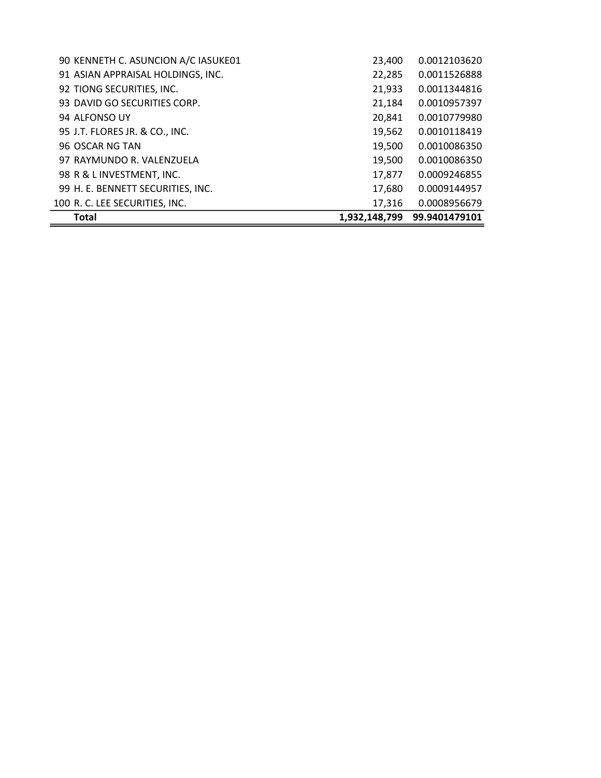| <b>Total</b>                        | 1,932,148,799 | 99.9401479101 |
|-------------------------------------|---------------|---------------|
| 100 R. C. LEE SECURITIES, INC.      | 17,316        | 0.0008956679  |
| 99 H. E. BENNETT SECURITIES, INC.   | 17,680        | 0.0009144957  |
| 98 R & L INVESTMENT, INC.           | 17,877        | 0.0009246855  |
| 97 RAYMUNDO R. VALENZUELA           | 19,500        | 0.0010086350  |
| 96 OSCAR NG TAN                     | 19,500        | 0.0010086350  |
| 95 J.T. FLORES JR. & CO., INC.      | 19,562        | 0.0010118419  |
| 94 ALFONSO UY                       | 20,841        | 0.0010779980  |
| 93 DAVID GO SECURITIES CORP.        | 21,184        | 0.0010957397  |
| 92 TIONG SECURITIES, INC.           | 21,933        | 0.0011344816  |
| 91 ASIAN APPRAISAL HOLDINGS, INC.   | 22,285        | 0.0011526888  |
| 90 KENNETH C. ASUNCION A/C IASUKE01 | 23,400        | 0.0012103620  |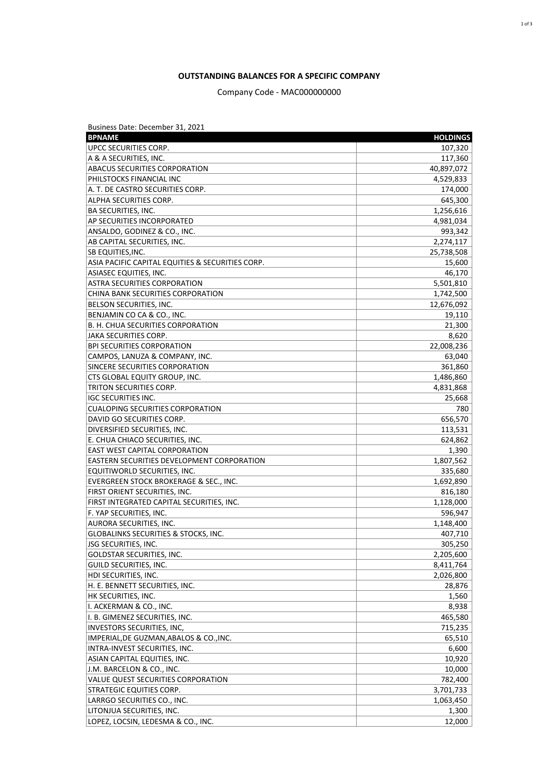### **OUTSTANDING BALANCES FOR A SPECIFIC COMPANY**

## Company Code - MAC000000000

| Business Date: December 31, 2021                  |                 |
|---------------------------------------------------|-----------------|
| <b>BPNAME</b>                                     | <b>HOLDINGS</b> |
| UPCC SECURITIES CORP.                             | 107,320         |
| A & A SECURITIES, INC.                            | 117,360         |
| ABACUS SECURITIES CORPORATION                     | 40,897,072      |
| PHILSTOCKS FINANCIAL INC                          | 4,529,833       |
| A. T. DE CASTRO SECURITIES CORP.                  | 174,000         |
| ALPHA SECURITIES CORP.                            | 645,300         |
| <b>BA SECURITIES, INC.</b>                        | 1,256,616       |
| AP SECURITIES INCORPORATED                        | 4,981,034       |
| ANSALDO, GODINEZ & CO., INC.                      | 993,342         |
| AB CAPITAL SECURITIES, INC.                       | 2,274,117       |
| SB EQUITIES, INC.                                 | 25,738,508      |
| ASIA PACIFIC CAPITAL EQUITIES & SECURITIES CORP.  | 15,600          |
| ASIASEC EQUITIES, INC.                            | 46,170          |
| ASTRA SECURITIES CORPORATION                      | 5,501,810       |
| CHINA BANK SECURITIES CORPORATION                 | 1,742,500       |
| BELSON SECURITIES, INC.                           | 12,676,092      |
| BENJAMIN CO CA & CO., INC.                        | 19,110          |
| B. H. CHUA SECURITIES CORPORATION                 | 21,300          |
| <b>JAKA SECURITIES CORP.</b>                      | 8,620           |
| <b>BPI SECURITIES CORPORATION</b>                 | 22,008,236      |
| CAMPOS, LANUZA & COMPANY, INC.                    | 63,040          |
| SINCERE SECURITIES CORPORATION                    | 361,860         |
| CTS GLOBAL EQUITY GROUP, INC.                     | 1,486,860       |
| TRITON SECURITIES CORP.                           | 4,831,868       |
| <b>IGC SECURITIES INC.</b>                        | 25,668          |
| <b>CUALOPING SECURITIES CORPORATION</b>           | 780             |
| DAVID GO SECURITIES CORP.                         | 656,570         |
| DIVERSIFIED SECURITIES, INC.                      | 113,531         |
| E. CHUA CHIACO SECURITIES, INC.                   | 624,862         |
| <b>EAST WEST CAPITAL CORPORATION</b>              | 1,390           |
| <b>EASTERN SECURITIES DEVELOPMENT CORPORATION</b> | 1,807,562       |
| EQUITIWORLD SECURITIES, INC.                      | 335,680         |
| <b>EVERGREEN STOCK BROKERAGE &amp; SEC., INC.</b> | 1,692,890       |
| FIRST ORIENT SECURITIES, INC.                     | 816,180         |
| FIRST INTEGRATED CAPITAL SECURITIES, INC.         | 1,128,000       |
| F. YAP SECURITIES, INC.                           | 596,947         |
| AURORA SECURITIES, INC.                           | 1,148,400       |
| GLOBALINKS SECURITIES & STOCKS, INC.              | 407,710         |
| JSG SECURITIES, INC.                              | 305,250         |
| GOLDSTAR SECURITIES, INC.                         | 2,205,600       |
| GUILD SECURITIES, INC.                            | 8,411,764       |
| HDI SECURITIES, INC.                              | 2,026,800       |
| H. E. BENNETT SECURITIES, INC.                    | 28,876          |
| HK SECURITIES, INC.                               | 1,560           |
| I. ACKERMAN & CO., INC.                           | 8,938           |
| I. B. GIMENEZ SECURITIES, INC.                    | 465,580         |
| INVESTORS SECURITIES, INC,                        | 715,235         |
| IMPERIAL, DE GUZMAN, ABALOS & CO., INC.           | 65,510          |
| INTRA-INVEST SECURITIES, INC.                     | 6,600           |
| ASIAN CAPITAL EQUITIES, INC.                      | 10,920          |
| J.M. BARCELON & CO., INC.                         | 10,000          |
| VALUE QUEST SECURITIES CORPORATION                | 782,400         |
| STRATEGIC EQUITIES CORP.                          | 3,701,733       |
| LARRGO SECURITIES CO., INC.                       | 1,063,450       |
| LITONJUA SECURITIES, INC.                         | 1,300           |
| LOPEZ, LOCSIN, LEDESMA & CO., INC.                | 12,000          |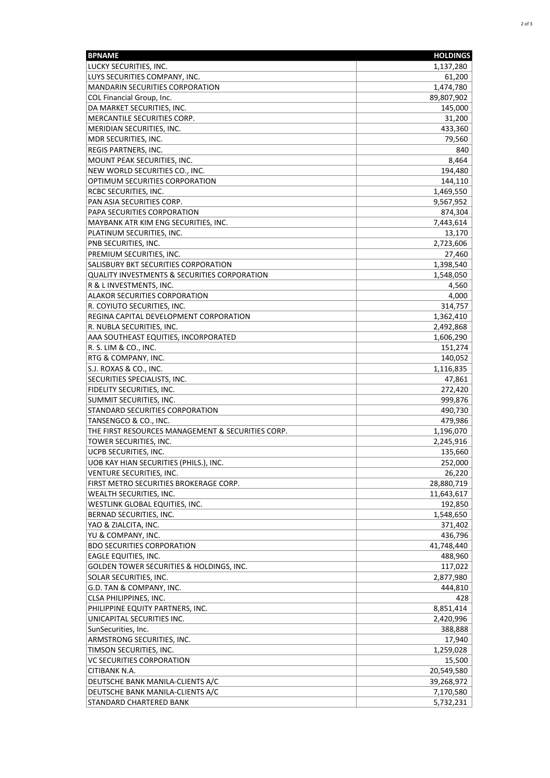| <b>BPNAME</b>                                     | <b>HOLDINGS</b> |
|---------------------------------------------------|-----------------|
| LUCKY SECURITIES, INC.                            | 1,137,280       |
| LUYS SECURITIES COMPANY, INC.                     | 61,200          |
| <b>MANDARIN SECURITIES CORPORATION</b>            | 1,474,780       |
| COL Financial Group, Inc.                         | 89,807,902      |
| DA MARKET SECURITIES, INC.                        | 145,000         |
| MERCANTILE SECURITIES CORP.                       | 31,200          |
| MERIDIAN SECURITIES, INC.                         | 433,360         |
| MDR SECURITIES, INC.                              | 79,560          |
| REGIS PARTNERS, INC.                              | 840             |
| MOUNT PEAK SECURITIES, INC.                       | 8,464           |
| NEW WORLD SECURITIES CO., INC.                    | 194,480         |
| OPTIMUM SECURITIES CORPORATION                    | 144,110         |
| RCBC SECURITIES, INC.                             | 1,469,550       |
| PAN ASIA SECURITIES CORP.                         | 9,567,952       |
| PAPA SECURITIES CORPORATION                       | 874,304         |
| MAYBANK ATR KIM ENG SECURITIES, INC.              | 7,443,614       |
| PLATINUM SECURITIES, INC.                         | 13,170          |
| PNB SECURITIES, INC.                              | 2,723,606       |
| PREMIUM SECURITIES, INC.                          | 27,460          |
| SALISBURY BKT SECURITIES CORPORATION              | 1,398,540       |
| QUALITY INVESTMENTS & SECURITIES CORPORATION      | 1,548,050       |
| R & L INVESTMENTS, INC.                           | 4,560           |
| ALAKOR SECURITIES CORPORATION                     | 4,000           |
| R. COYIUTO SECURITIES, INC.                       | 314,757         |
| REGINA CAPITAL DEVELOPMENT CORPORATION            | 1,362,410       |
| R. NUBLA SECURITIES, INC.                         | 2,492,868       |
| AAA SOUTHEAST EQUITIES, INCORPORATED              | 1,606,290       |
| R. S. LIM & CO., INC.                             | 151,274         |
| RTG & COMPANY, INC.                               | 140,052         |
| S.J. ROXAS & CO., INC.                            | 1,116,835       |
| SECURITIES SPECIALISTS, INC.                      | 47,861          |
| FIDELITY SECURITIES, INC.                         | 272,420         |
| SUMMIT SECURITIES, INC.                           | 999,876         |
| STANDARD SECURITIES CORPORATION                   | 490,730         |
| TANSENGCO & CO., INC.                             | 479,986         |
| THE FIRST RESOURCES MANAGEMENT & SECURITIES CORP. | 1,196,070       |
| TOWER SECURITIES, INC.                            | 2,245,916       |
| UCPB SECURITIES, INC.                             | 135,660         |
| UOB KAY HIAN SECURITIES (PHILS.), INC.            | 252,000         |
| VENTURE SECURITIES, INC.                          | 26,220          |
| FIRST METRO SECURITIES BROKERAGE CORP.            | 28,880,719      |
| WEALTH SECURITIES, INC.                           | 11,643,617      |
| WESTLINK GLOBAL EQUITIES, INC.                    | 192,850         |
| BERNAD SECURITIES, INC.                           | 1,548,650       |
| YAO & ZIALCITA, INC.                              | 371,402         |
| YU & COMPANY, INC.                                | 436,796         |
| <b>BDO SECURITIES CORPORATION</b>                 | 41,748,440      |
| EAGLE EQUITIES, INC.                              | 488,960         |
| GOLDEN TOWER SECURITIES & HOLDINGS, INC.          | 117,022         |
| SOLAR SECURITIES, INC.                            | 2,877,980       |
| G.D. TAN & COMPANY, INC.                          | 444,810         |
| CLSA PHILIPPINES, INC.                            | 428             |
| PHILIPPINE EQUITY PARTNERS, INC.                  | 8,851,414       |
| UNICAPITAL SECURITIES INC.                        | 2,420,996       |
| SunSecurities, Inc.                               | 388,888         |
| ARMSTRONG SECURITIES, INC.                        | 17,940          |
| TIMSON SECURITIES, INC.                           | 1,259,028       |
| VC SECURITIES CORPORATION                         | 15,500          |
| CITIBANK N.A.                                     | 20,549,580      |
| DEUTSCHE BANK MANILA-CLIENTS A/C                  | 39,268,972      |
| DEUTSCHE BANK MANILA-CLIENTS A/C                  | 7,170,580       |
| STANDARD CHARTERED BANK                           | 5,732,231       |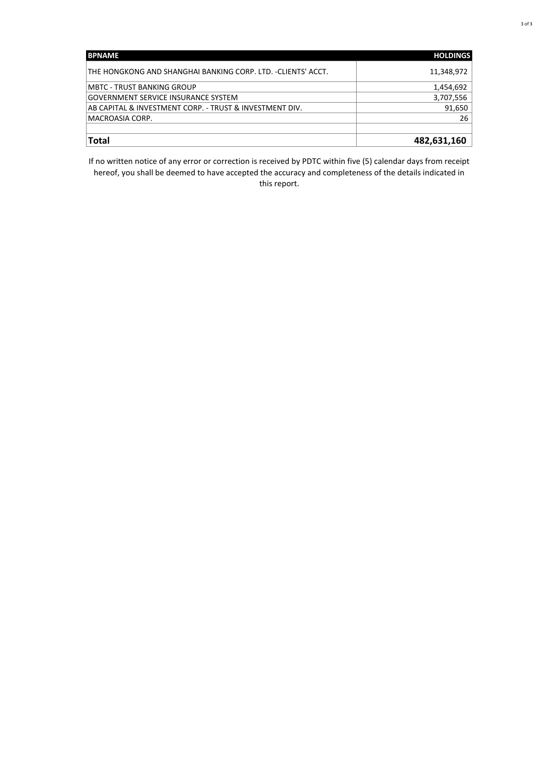| <b>BPNAME</b>                                                | <b>HOLDINGS</b> |
|--------------------------------------------------------------|-----------------|
| THE HONGKONG AND SHANGHAI BANKING CORP. LTD. -CLIENTS' ACCT. | 11,348,972      |
| <b>MBTC - TRUST BANKING GROUP</b>                            | 1,454,692       |
| <b>GOVERNMENT SERVICE INSURANCE SYSTEM</b>                   | 3,707,556       |
| AB CAPITAL & INVESTMENT CORP. - TRUST & INVESTMENT DIV.      | 91,650          |
| MACROASIA CORP.                                              | 26              |
|                                                              |                 |
| Total                                                        | 482,631,160     |

If no written notice of any error or correction is received by PDTC within five (5) calendar days from receipt hereof, you shall be deemed to have accepted the accuracy and completeness of the details indicated in this report.